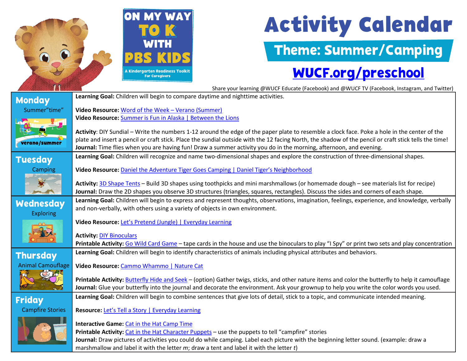

# **Activity Calendar**

Theme: Summer/Camping

### [WUCF.org/preschool](https://www.wucf.org/community/family/wucf-on-my-way-to-k/)

Share your learning @WUCF Educate (Facebook) and @WUCF TV (Facebook, Instagram, and Twitter)  **Learning Goal:** Children will begin to compare daytime and nighttime activities. **Monday** Summer"time" **Video Resource:** [Word of the Week –](https://florida.pbslearningmedia.org/resource/wotw-verano-dots-spot/wotw-verano-dots-spot/support-materials/) Verano (Summer) **Video Resource:** [Summer is Fun in Alaska | Between the Lions](https://florida.pbslearningmedia.org/resource/btl10.ela.early.summerisfuninalaska/summer-is-fun-in-alaska/) **Activity**: DIY Sundial – Write the numbers 1-12 around the edge of the paper plate to resemble a clock face. Poke a hole in the center of the plate and insert a pencil or craft stick. Place the sundial outside with the 12 facing North, the shadow of the pencil or craft stick tells the time! verano/summer **Journal:** Time flies when you are having fun! Draw a summer activity you do in the morning, afternoon, and evening. **Learning Goal:** Children will recognize and name two-dimensional shapes and explore the construction of three-dimensional shapes. **Tuesday Camping Video Resource:** [Daniel the Adventure Tiger Goes Camping | Daniel Tiger's Neighborhood](https://florida.pbslearningmedia.org/resource/ac5c52fe-4062-4a03-8afa-307d11c62bc7/imagination-daniel-the-adventure-tiger-goes-camping-daniel-tigers-neighborhood/support-materials/)  **Activity:** [3D Shape Tents](https://www.youtube.com/watch?v=yeV_lLLSz8U) – Build 3D shapes using toothpicks and mini marshmallows (or homemade dough – see materials list for recipe)  **Journal:** Draw the 2D shapes you observe 3D structures (triangles, squares, rectangles). Discuss the sides and corners of each shape. **Learning Goal:** Children will begin to express and represent thoughts, observations, imagination, feelings, experience, and knowledge, verbally **Wednesday**  and non-verbally, with others using a variety of objects in own environment. Exploring **Video Resource:** [Let's Pretend \(Jungle\) | Everyday Learning](https://florida.pbslearningmedia.org/resource/ket-earlychild-art6/lets-pretend/support-materials/)  **Activity:** [DIY Binoculars](https://www.pbs.org/parents/crafts-and-experiments/go-birdwatching-with-diy-binoculars) **Printable Activity:** [Go Wild Card Game](https://www.pbs.org/parents/printables/go-wild-card-game) – tape cards in the house and use the binoculars to play "I Spy" or print two sets and play concentration **Learning Goal:** Children will begin to identify characteristics of animals including physical attributes and behaviors. **Thursday** Animal Camouflage **Video Resource:** [Cammo Whammo | Nature Cat](https://www.youtube.com/watch?v=1Ir2qXmTsqc)  **Printable Activity:** [Butterfly Hide and Seek](https://www.pbs.org/parents/printables/butterfly-hide-and-seek) – (option) Gather twigs, sticks, and other nature items and color the butterfly to help it camouflage  **Journal:** Glue your butterfly into the journal and decorate the environment. Ask your grownup to help you write the color words you used. **Learning Goal:** Children will begin to combine sentences that give lots of detail, stick to a topic, and communicate intended meaning. Friday Campfire Stories **Resource:** [Let's Tell a Story | Everyday Learning](https://florida.pbslearningmedia.org/resource/ket-earlychild-art5/lets-tell-a-story/support-materials/)  **Interactive Game:** [Cat in the Hat Camp Time](https://pbskids.org/catinthehat/games/camp-time) **Printable Activity:** [Cat in the Hat Character Puppets](https://www.pbs.org/parents/printables/character-finger-puppets) – use the puppets to tell "campfire" stories  **Journal:** Draw pictures of activities you could do while camping. Label each picture with the beginning letter sound. (example: draw a

marshmallow and label it with the letter *m*; draw a tent and label it with the letter *t*)